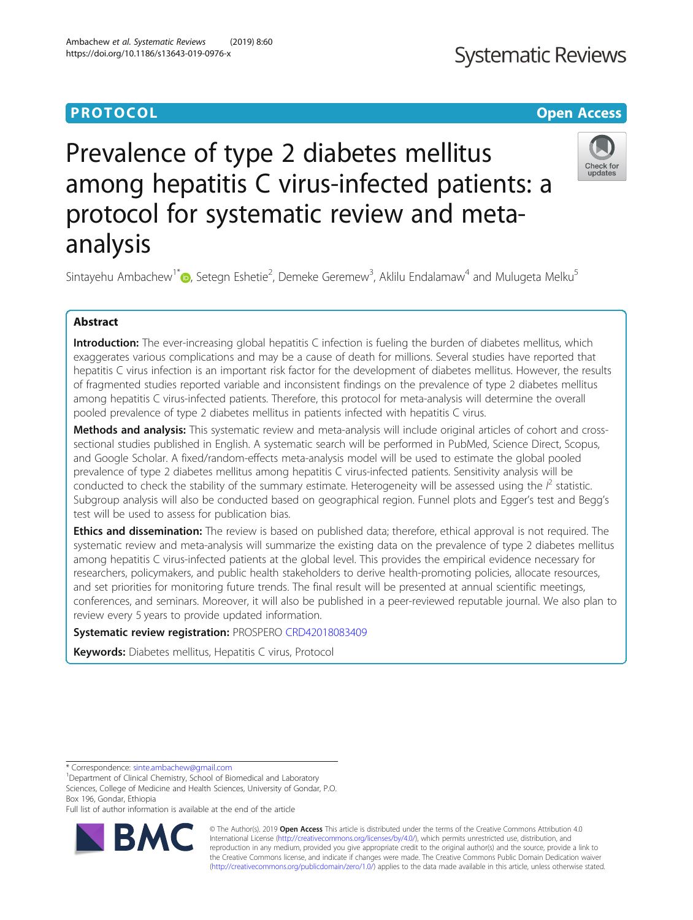# **PROTOCOL CONSUMING THE CONSUMING TEACHER CONSUMING THE CONSUMING TEACHER CONSUMING THE CONSUMING TEACHER CONSUMING**

# **Systematic Reviews**

# Prevalence of type 2 diabetes mellitus among hepatitis C virus-infected patients: a protocol for systematic review and metaanalysis



Sintayehu Ambachew<sup>1\*</sup> $\bullet$ [,](http://orcid.org/0000-0002-9220-0928) Setegn Eshetie<sup>2</sup>, Demeke Geremew<sup>3</sup>, Aklilu Endalamaw<sup>4</sup> and Mulugeta Melku<sup>5</sup>

# Abstract

Introduction: The ever-increasing global hepatitis C infection is fueling the burden of diabetes mellitus, which exaggerates various complications and may be a cause of death for millions. Several studies have reported that hepatitis C virus infection is an important risk factor for the development of diabetes mellitus. However, the results of fragmented studies reported variable and inconsistent findings on the prevalence of type 2 diabetes mellitus among hepatitis C virus-infected patients. Therefore, this protocol for meta-analysis will determine the overall pooled prevalence of type 2 diabetes mellitus in patients infected with hepatitis C virus.

Methods and analysis: This systematic review and meta-analysis will include original articles of cohort and crosssectional studies published in English. A systematic search will be performed in PubMed, Science Direct, Scopus, and Google Scholar. A fixed/random-effects meta-analysis model will be used to estimate the global pooled prevalence of type 2 diabetes mellitus among hepatitis C virus-infected patients. Sensitivity analysis will be conducted to check the stability of the summary estimate. Heterogeneity will be assessed using the  $l^2$  statistic. Subgroup analysis will also be conducted based on geographical region. Funnel plots and Egger's test and Begg's test will be used to assess for publication bias.

Ethics and dissemination: The review is based on published data; therefore, ethical approval is not required. The systematic review and meta-analysis will summarize the existing data on the prevalence of type 2 diabetes mellitus among hepatitis C virus-infected patients at the global level. This provides the empirical evidence necessary for researchers, policymakers, and public health stakeholders to derive health-promoting policies, allocate resources, and set priorities for monitoring future trends. The final result will be presented at annual scientific meetings, conferences, and seminars. Moreover, it will also be published in a peer-reviewed reputable journal. We also plan to review every 5 years to provide updated information.

Systematic review registration: PROSPERO [CRD42018083409](https://www.crd.york.ac.uk/prospero/#recordDetails)

Keywords: Diabetes mellitus, Hepatitis C virus, Protocol

\* Correspondence: [sinte.ambachew@gmail.com](mailto:sinte.ambachew@gmail.com) <sup>1</sup>

<sup>1</sup>Department of Clinical Chemistry, School of Biomedical and Laboratory Sciences, College of Medicine and Health Sciences, University of Gondar, P.O. Box 196, Gondar, Ethiopia

Full list of author information is available at the end of the article



© The Author(s). 2019 **Open Access** This article is distributed under the terms of the Creative Commons Attribution 4.0 International License [\(http://creativecommons.org/licenses/by/4.0/](http://creativecommons.org/licenses/by/4.0/)), which permits unrestricted use, distribution, and reproduction in any medium, provided you give appropriate credit to the original author(s) and the source, provide a link to the Creative Commons license, and indicate if changes were made. The Creative Commons Public Domain Dedication waiver [\(http://creativecommons.org/publicdomain/zero/1.0/](http://creativecommons.org/publicdomain/zero/1.0/)) applies to the data made available in this article, unless otherwise stated.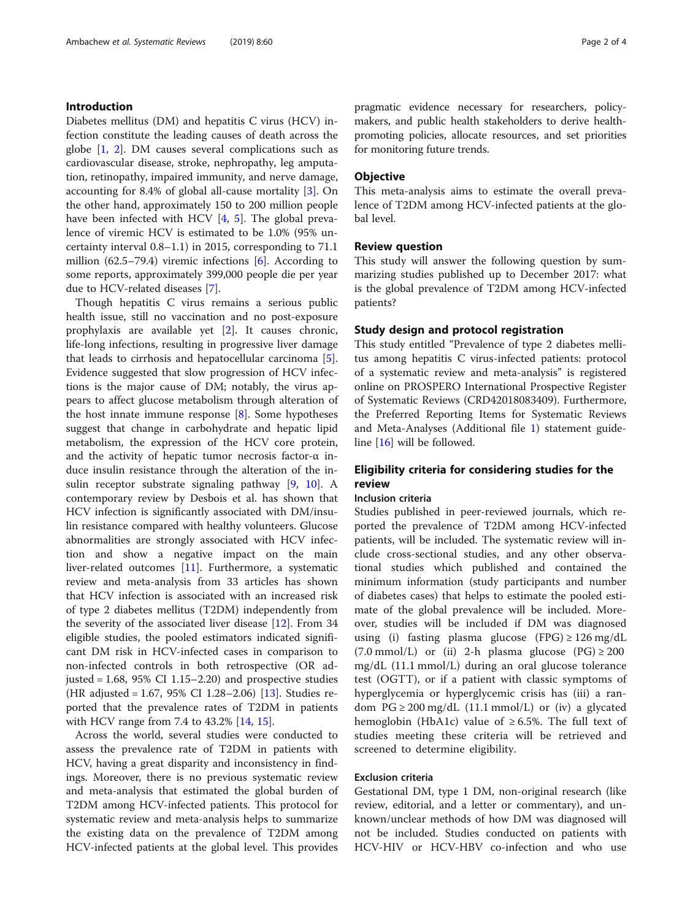# Introduction

Diabetes mellitus (DM) and hepatitis C virus (HCV) infection constitute the leading causes of death across the globe [\[1](#page-3-0), [2](#page-3-0)]. DM causes several complications such as cardiovascular disease, stroke, nephropathy, leg amputation, retinopathy, impaired immunity, and nerve damage, accounting for 8.4% of global all-cause mortality [[3\]](#page-3-0). On the other hand, approximately 150 to 200 million people have been infected with HCV [\[4](#page-3-0), [5](#page-3-0)]. The global prevalence of viremic HCV is estimated to be 1.0% (95% uncertainty interval 0.8–1.1) in 2015, corresponding to 71.1 million (62.5–79.4) viremic infections [\[6](#page-3-0)]. According to some reports, approximately 399,000 people die per year due to HCV-related diseases [[7\]](#page-3-0).

Though hepatitis C virus remains a serious public health issue, still no vaccination and no post-exposure prophylaxis are available yet [[2\]](#page-3-0). It causes chronic, life-long infections, resulting in progressive liver damage that leads to cirrhosis and hepatocellular carcinoma [\[5](#page-3-0)]. Evidence suggested that slow progression of HCV infections is the major cause of DM; notably, the virus appears to affect glucose metabolism through alteration of the host innate immune response [[8\]](#page-3-0). Some hypotheses suggest that change in carbohydrate and hepatic lipid metabolism, the expression of the HCV core protein, and the activity of hepatic tumor necrosis factor-α induce insulin resistance through the alteration of the insulin receptor substrate signaling pathway [[9,](#page-3-0) [10](#page-3-0)]. A contemporary review by Desbois et al. has shown that HCV infection is significantly associated with DM/insulin resistance compared with healthy volunteers. Glucose abnormalities are strongly associated with HCV infection and show a negative impact on the main liver-related outcomes [[11\]](#page-3-0). Furthermore, a systematic review and meta-analysis from 33 articles has shown that HCV infection is associated with an increased risk of type 2 diabetes mellitus (T2DM) independently from the severity of the associated liver disease [[12](#page-3-0)]. From 34 eligible studies, the pooled estimators indicated significant DM risk in HCV-infected cases in comparison to non-infected controls in both retrospective (OR adjusted =  $1.68$ ,  $95\%$  CI  $1.15-2.20$ ) and prospective studies (HR adjusted = 1.67, 95% CI 1.28–2.06) [[13\]](#page-3-0). Studies reported that the prevalence rates of T2DM in patients with HCV range from 7.4 to 43.2% [\[14,](#page-3-0) [15\]](#page-3-0).

Across the world, several studies were conducted to assess the prevalence rate of T2DM in patients with HCV, having a great disparity and inconsistency in findings. Moreover, there is no previous systematic review and meta-analysis that estimated the global burden of T2DM among HCV-infected patients. This protocol for systematic review and meta-analysis helps to summarize the existing data on the prevalence of T2DM among HCV-infected patients at the global level. This provides

pragmatic evidence necessary for researchers, policymakers, and public health stakeholders to derive healthpromoting policies, allocate resources, and set priorities for monitoring future trends.

# **Objective**

This meta-analysis aims to estimate the overall prevalence of T2DM among HCV-infected patients at the global level.

# Review question

This study will answer the following question by summarizing studies published up to December 2017: what is the global prevalence of T2DM among HCV-infected patients?

# Study design and protocol registration

This study entitled "Prevalence of type 2 diabetes mellitus among hepatitis C virus-infected patients: protocol of a systematic review and meta-analysis" is registered online on PROSPERO International Prospective Register of Systematic Reviews (CRD42018083409). Furthermore, the Preferred Reporting Items for Systematic Reviews and Meta-Analyses (Additional file [1\)](#page-3-0) statement guideline [[16\]](#page-3-0) will be followed.

# Eligibility criteria for considering studies for the review

# Inclusion criteria

Studies published in peer-reviewed journals, which reported the prevalence of T2DM among HCV-infected patients, will be included. The systematic review will include cross-sectional studies, and any other observational studies which published and contained the minimum information (study participants and number of diabetes cases) that helps to estimate the pooled estimate of the global prevalence will be included. Moreover, studies will be included if DM was diagnosed using (i) fasting plasma glucose (FPG)  $\geq$  126 mg/dL (7.0 mmol/L) or (ii) 2-h plasma glucose (PG)  $\geq$  200 mg/dL (11.1 mmol/L) during an oral glucose tolerance test (OGTT), or if a patient with classic symptoms of hyperglycemia or hyperglycemic crisis has (iii) a random  $PG \ge 200$  mg/dL (11.1 mmol/L) or (iv) a glycated hemoglobin (HbA1c) value of  $\geq 6.5$ %. The full text of studies meeting these criteria will be retrieved and screened to determine eligibility.

# Exclusion criteria

Gestational DM, type 1 DM, non-original research (like review, editorial, and a letter or commentary), and unknown/unclear methods of how DM was diagnosed will not be included. Studies conducted on patients with HCV-HIV or HCV-HBV co-infection and who use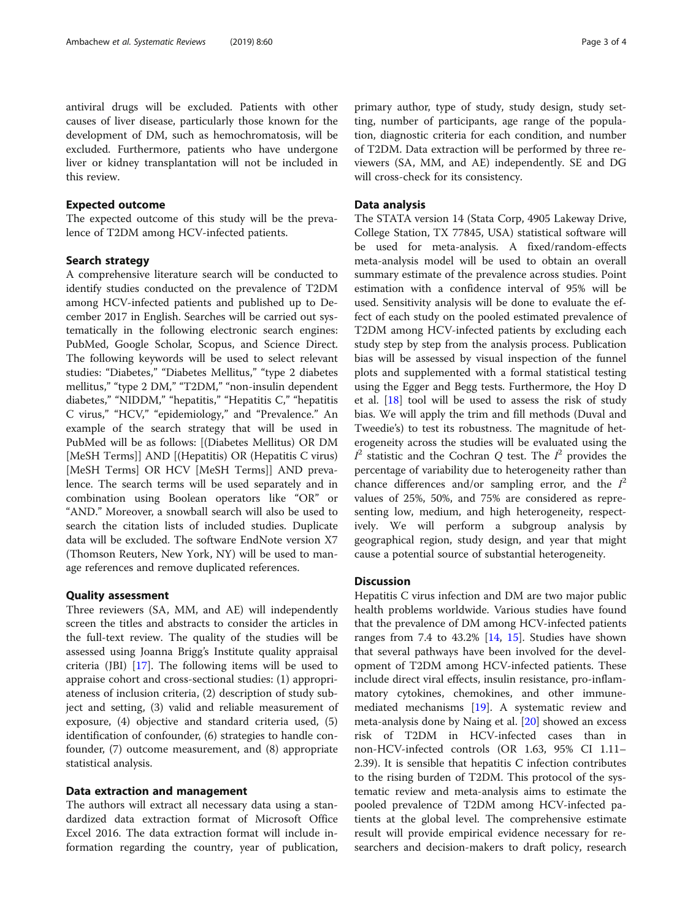antiviral drugs will be excluded. Patients with other causes of liver disease, particularly those known for the development of DM, such as hemochromatosis, will be

excluded. Furthermore, patients who have undergone liver or kidney transplantation will not be included in

Expected outcome

this review.

The expected outcome of this study will be the prevalence of T2DM among HCV-infected patients.

# Search strategy

A comprehensive literature search will be conducted to identify studies conducted on the prevalence of T2DM among HCV-infected patients and published up to December 2017 in English. Searches will be carried out systematically in the following electronic search engines: PubMed, Google Scholar, Scopus, and Science Direct. The following keywords will be used to select relevant studies: "Diabetes," "Diabetes Mellitus," "type 2 diabetes mellitus," "type 2 DM," "T2DM," "non-insulin dependent diabetes," "NIDDM," "hepatitis," "Hepatitis C," "hepatitis C virus," "HCV," "epidemiology," and "Prevalence." An example of the search strategy that will be used in PubMed will be as follows: [(Diabetes Mellitus) OR DM [MeSH Terms]] AND [(Hepatitis) OR (Hepatitis C virus) [MeSH Terms] OR HCV [MeSH Terms]] AND prevalence. The search terms will be used separately and in combination using Boolean operators like "OR" or "AND." Moreover, a snowball search will also be used to search the citation lists of included studies. Duplicate data will be excluded. The software EndNote version X7 (Thomson Reuters, New York, NY) will be used to manage references and remove duplicated references.

# Quality assessment

Three reviewers (SA, MM, and AE) will independently screen the titles and abstracts to consider the articles in the full-text review. The quality of the studies will be assessed using Joanna Brigg's Institute quality appraisal criteria (JBI) [[17\]](#page-3-0). The following items will be used to appraise cohort and cross-sectional studies: (1) appropriateness of inclusion criteria, (2) description of study subject and setting, (3) valid and reliable measurement of exposure, (4) objective and standard criteria used, (5) identification of confounder, (6) strategies to handle confounder, (7) outcome measurement, and (8) appropriate statistical analysis.

# Data extraction and management

The authors will extract all necessary data using a standardized data extraction format of Microsoft Office Excel 2016. The data extraction format will include information regarding the country, year of publication,

# Data analysis

will cross-check for its consistency.

The STATA version 14 (Stata Corp, 4905 Lakeway Drive, College Station, TX 77845, USA) statistical software will be used for meta-analysis. A fixed/random-effects meta-analysis model will be used to obtain an overall summary estimate of the prevalence across studies. Point estimation with a confidence interval of 95% will be used. Sensitivity analysis will be done to evaluate the effect of each study on the pooled estimated prevalence of T2DM among HCV-infected patients by excluding each study step by step from the analysis process. Publication bias will be assessed by visual inspection of the funnel plots and supplemented with a formal statistical testing using the Egger and Begg tests. Furthermore, the Hoy D et al. [\[18](#page-3-0)] tool will be used to assess the risk of study bias. We will apply the trim and fill methods (Duval and Tweedie's) to test its robustness. The magnitude of heterogeneity across the studies will be evaluated using the  $I^2$  statistic and the Cochran Q test. The  $I^2$  provides the percentage of variability due to heterogeneity rather than chance differences and/or sampling error, and the  $I^2$ values of 25%, 50%, and 75% are considered as representing low, medium, and high heterogeneity, respectively. We will perform a subgroup analysis by geographical region, study design, and year that might cause a potential source of substantial heterogeneity.

# **Discussion**

Hepatitis C virus infection and DM are two major public health problems worldwide. Various studies have found that the prevalence of DM among HCV-infected patients ranges from 7.4 to 43.2% [[14,](#page-3-0) [15\]](#page-3-0). Studies have shown that several pathways have been involved for the development of T2DM among HCV-infected patients. These include direct viral effects, insulin resistance, pro-inflammatory cytokines, chemokines, and other immunemediated mechanisms [\[19\]](#page-3-0). A systematic review and meta-analysis done by Naing et al. [\[20\]](#page-3-0) showed an excess risk of T2DM in HCV-infected cases than in non-HCV-infected controls (OR 1.63, 95% CI 1.11– 2.39). It is sensible that hepatitis C infection contributes to the rising burden of T2DM. This protocol of the systematic review and meta-analysis aims to estimate the pooled prevalence of T2DM among HCV-infected patients at the global level. The comprehensive estimate result will provide empirical evidence necessary for researchers and decision-makers to draft policy, research